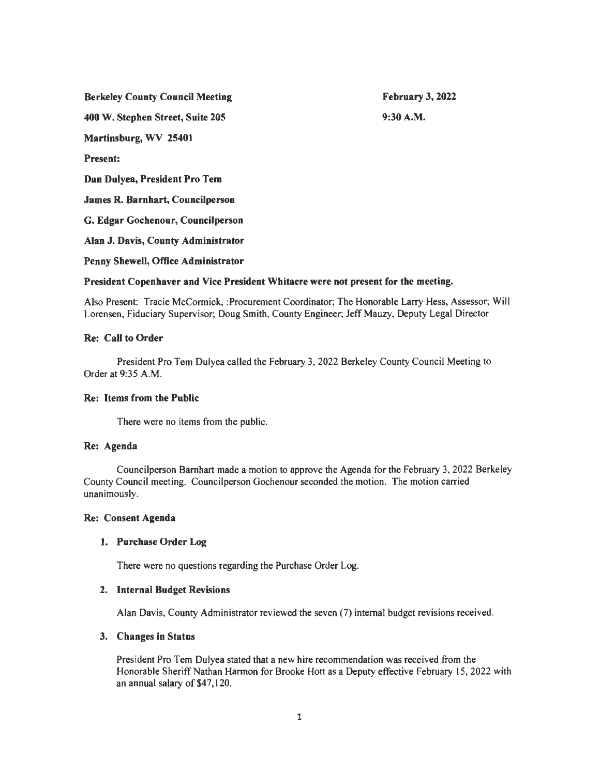Berkeley County Council Meeting

February 3, 2022 9:30A.M.

400 W. Stephen Street, Suite 205

Martinsburg, WV 25401

Present:

Dan Dulyea, President Pro Tem

James R. Barnhart, Councilperson

G. Edgar Gochenour, Councilperson

Alan J. Davis, County Administrator

Penny Shewell, Office Administrator

# President Copenhaver and Vice President Whitacre were not present for the meeting.

Also Present: Tracie McCormick, :Procurement Coordinator; The Honorable Larry Hess, Assessor; Will Lorensen, Fiduciary Supervisor; Doug Smith, County Engineer; Jeff Mauzy, Deputy Legal Director

# Re: Call to Order

President Pro Tern Dulyea called the February 3, 2022 Berkeley County Council Meeting to Order at 9:35 A.M.

# Re: Items from the Public

There were no items from the public.

# Re: Agenda

Councilperson Barnhart made a motion to approve the Agenda for the February 3, 2022 Berkeley County Council meeting. Councilperson Gochenour seconded the motion. The motion carried unanimously.

# Re: Consent Agenda

# 1. Purchase Order Log

There were no questions regarding the Purchase Order Log.

# 2. Internal Budget Revisions

Alan Davis, County Administrator reviewed the seven (7) internal budget revisions received.

# 3. Changes in Status

President Pro Tern Dulyea stated that a new hire recommendation was received from the Honorable Sheriff Nathan Harmon for Brooke Hott as a Deputy effective February 15, 2022 with an annual salary of \$47, 120.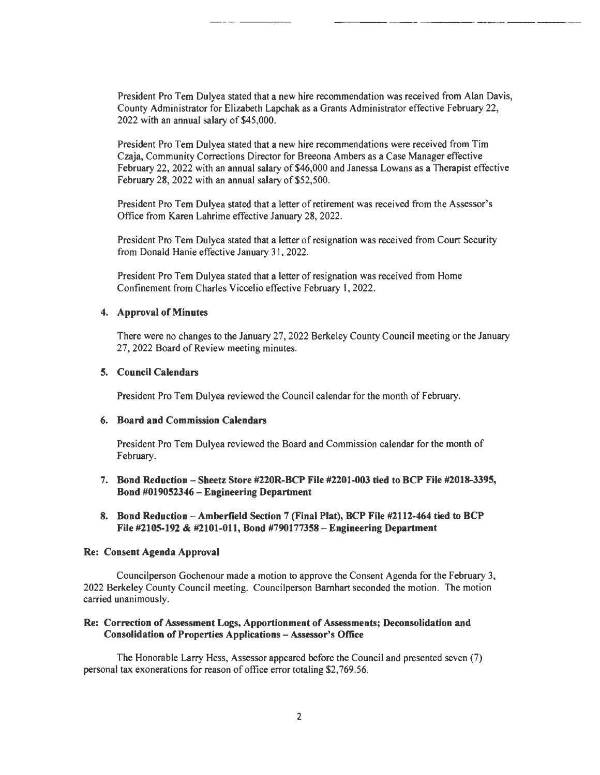President Pro Tern Dulyea stated that a new hire recommendation was received from Alan Davis, County Administrator for Elizabeth Lapchak as a Grants Administrator effective February 22, 2022 with an annual salary of \$45,000.

--- - - - - -

President Pro Tern Dulyea stated that a new hire recommendations were received from Tim Czaja, Community Corrections Director for Breeona Ambers as a Case Manager effective February 22, 2022 with an annual salary of \$46,000 and Janessa Lowans as a Therapist effective February 28, 2022 with an annual salary of \$52,500.

President Pro Tern Dulyea stated that a letter of retirement was received from the Assessor's Office from Karen Lahrime effective January 28, 2022.

President Pro Tern Dulyea stated that a letter of resignation was received from Court Security from Donald Hanie effective January 31, 2022.

President Pro Tern Dulyea stated that a letter of resignation was received from Home Confinement from Charles Viccelio effective February I, 2022.

#### 4. Approval of Minutes

There were no changes to the January 27, 2022 Berkeley County Council meeting or the January 27, 2022 Board of Review meeting minutes.

#### 5. Council Calendars

President Pro Tem Dulyea reviewed the Council calendar for the month of February.

#### 6. Board and Commission Calendars

President Pro Tern Dulyea reviewed the Board and Commission calendar for the month of February.

- 7. Bond Reduction -Sheetz Store #220R-BCP File #2201-003 tied to BCP File #2018-3395, Bond #019052346 - Engineering Department
- 8. Bond Reduction -Amberfield Section 7 (Final Plat), BCP File #2112-464 tied to BCP File #2105-192 & #2101-011, Bond #790177358-Engineering Department

#### Re: Consent Agenda Approval

Councilperson Gochenour made a motion to approve the Consent Agenda for the February 3, 2022 Berkeley County Council meeting. Councilperson Barnhart seconded the motion. The motion carried unanimously.

#### Re: Correction of Assessment Logs, Apportionment of Assessments; Deconsolidation and Consolidation of Properties Applications - Assessor's Office

The Honorable Larry Hess, Assessor appeared before the Council and presented seven (7) personal tax exonerations for reason of office error totaling \$2, 769.56.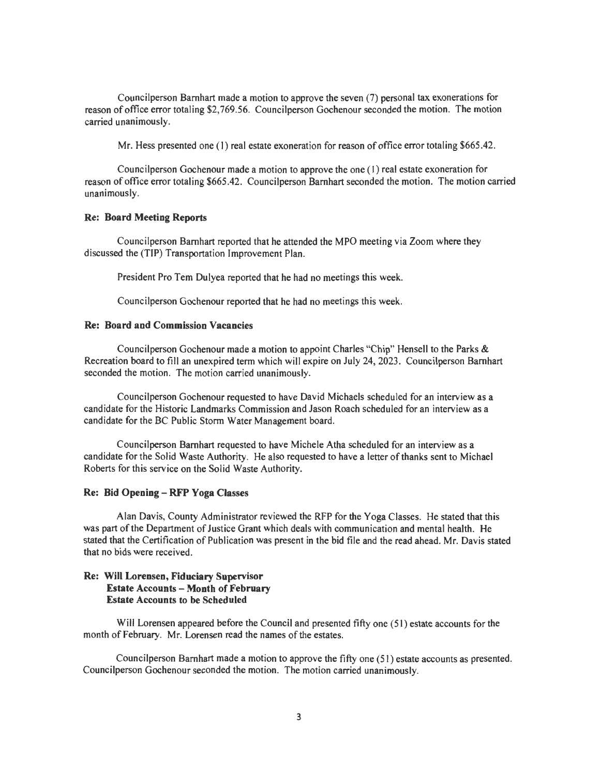Councilperson Barnhart made a motion to approve the seven (7) personal tax exonerations for reason of office error totaling \$2,769.56. Councilperson Gochenour seconded the motion. The motion carried unanimously.

Mr. Hess presented one (1) real estate exoneration for reason of office error totaling \$665.42.

Councilperson Gochenour made a motion to approve the one (I) real estate exoneration for reason of office error totaling \$665 .42. Councilperson Barnhart seconded the motion. The motion carried unanimously.

#### Re: Board Meeting Reports

Councilperson Barnhart reported that he attended the MPO meeting via Zoom where they discussed the (TIP) Transportation Improvement Plan.

President Pro Tem Dulyea reported that he had no meetings this week.

Councilperson Gochenour reported that he had no meetings this week.

#### Re: Board and Commission Vacancies

Councilperson Gochenour made a motion to appoint Charles "Chip" Hensell to the Parks & Recreation board to fill an unexpired term which will expire on July 24, 2023. Councilperson Barnhart seconded the motion. The motion carried unanimously.

Councilperson Gochenour requested to have David Michaels scheduled for an interview as a candidate for the Historic Landmarks Commission and Jason Roach scheduled for an interview as a candidate for the BC Public Storm Water Management board.

Councilperson Barnhart requested to have Michele Atha scheduled for an interview as a candidate for the Solid Waste Authority. He also requested to have a letter of thanks sent to Michael Roberts for this service on the Solid Waste Authority.

#### Re: Bid Opening - RFP Yoga Classes

Alan Davis, County Administrator reviewed the RFP for the Yoga Classes. He stated that this was part of the Department of Justice Grant which deals with communication and mental health. He stated that the Certification of Publication was present in the bid file and the read ahead. Mr. Davis stated that no bids were received.

#### Re: Will Lorensen, Fiduciary Supervisor Estate Accounts - Month of February Estate Accounts to be Scheduled

Will Lorensen appeared before the Council and presented fifty one (51) estate accounts for the month of February. Mr. Lorensen read the names of the estates.

Councilperson Barnhart made a motion to approve the fifty one (51) estate accounts as presented. Councilperson Gochenour seconded the motion. The motion carried unanimously.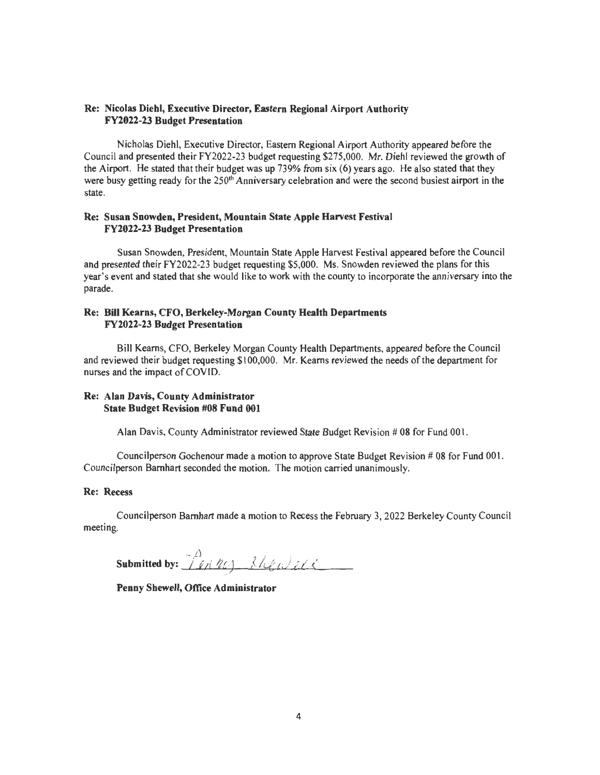### Re: Nicolas Diehl, Executive Director, Eastern Regional Airport Authority FY2022-23 Budget Presentation

Nicholas Diehl, Executive Director, Eastern Regional Airport Authority appeared before the Council and presented their FY2022-23 budget requesting \$275,000. Mr. Diehl reviewed the growth of the Airport. He stated that their budget was up 739% from six (6) years ago. He also stated that they were busy getting ready for the 250<sup>th</sup> Anniversary celebration and were the second busiest airport in the state.

#### Re: Susan Snowden, President, Mountain State Apple Harvest Festival FY2022-23 Budget Presentation

Susan Snowden, President, Mountain State Apple Harvest Festival appeared before the Council and presented their FY2022-23 budget requesting \$5,000. Ms. Snowden reviewed the plans for this year's event and stated that she would like to work with the county to incorporate the anniversary into the parade.

### Re: Bill Kearns, CFO, Berkeley-Morgan County Health Departments FY2022-23 Budget Presentation

Bill Kearns, CFO, Berkeley Morgan County Health Departments, appeared before the Council and reviewed their budget requesting \$100,000. Mr. Kearns reviewed the needs of the department for nurses and the impact of COVID.

# Re: Alan Davis, County Administrator State Budget Revision #08 Fund 001

Alan Davis, County Administrator reviewed State Budget Revision  $#08$  for Fund 001.

Councilperson Gochenour made a motion to approve State Budget Revision # 08 for Fund 00 I. Councilperson Barnhart seconded the motion. The motion carried unanimously.

#### Re: Recess

Councilperson Barnhart made a motion to Recess the February 3, 2022 Berkeley County Council meeting.

 $S$ ubmitted by:  $\overbrace{\phantom{a}1}^{\beta}$  ,  $\overline{2}$  ,  $\overline{2}$  ,  $\overline{3}$  ,  $\overline{2}$  ,  $\overline{2}$  ,  $\overline{2}$  ,  $\overline{2}$ 

Penny Shewell, Office Administrator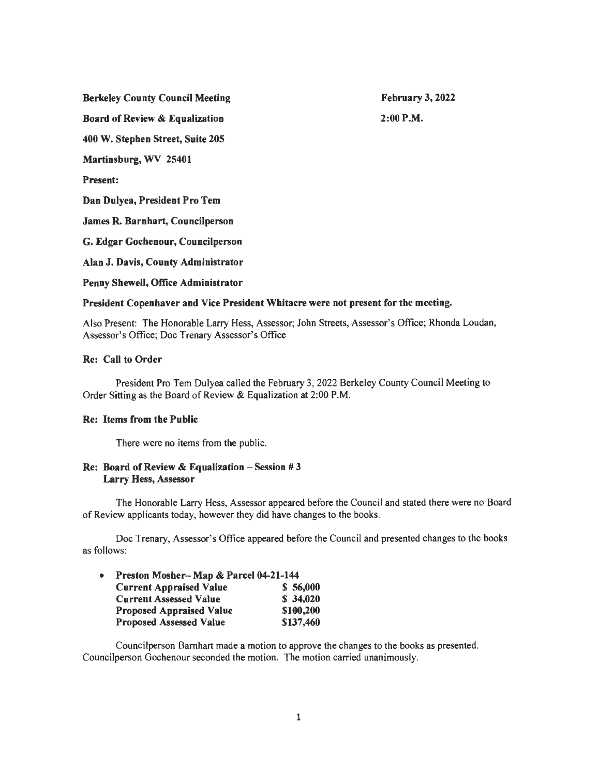Berkeley County Council Meeting

February 3, 2022 2:00P.M.

Board of Review & Equalization

400 W. Stephen Street, Suite 205

Martinsburg, WV 25401

Present:

Dan Dulyea, President Pro Tem

James R. Barnhart, Councilperson

G. Edgar Gochenour, Councilperson

Alan J. Davis, County Administrator

Penny Shewell, Office Administrator

### President Copenhaver and Vice President Whitacre were not present for the meeting.

Also Present: The Honorable Larry Hess, Assessor; John Streets, Assessor's Office; Rhonda Loudan, Assessor's Office; Doc Trenary Assessor's Office

### Re: Call to Order

President Pro Tern Dulyea called the February 3, 2022 Berkeley County Council Meeting to Order Sitting as the Board of Review & Equalization at 2:00 P.M.

#### Re: Items from the Public

There were no items from the public.

### Re: Board of Review & Equalization  $-$  Session #3 Larry Hess, Assessor

The Honorable Larry Hess, Assessor appeared before the Council and stated there were no Board of Review applicants today, however they did have changes to the books.

Doc Trenary, Assessor's Office appeared before the Council and presented changes to the books as follows:

| $\bullet$ | Preston Mosher-Map & Parcel 04-21-144 |           |
|-----------|---------------------------------------|-----------|
|           | <b>Current Appraised Value</b>        | \$56,000  |
|           | <b>Current Assessed Value</b>         | \$34,020  |
|           | <b>Proposed Appraised Value</b>       | \$100,200 |
|           | <b>Proposed Assessed Value</b>        | \$137,460 |

Councilperson Barnhart made a motion to approve the changes to the books as presented. Councilperson Gochenour seconded the motion. The motion carried unanimously.